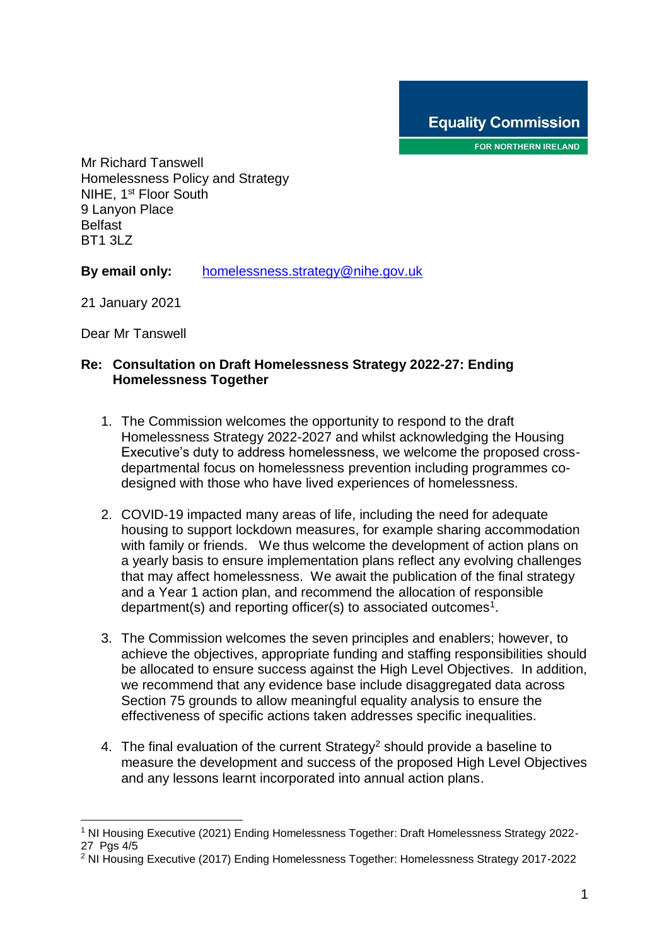FOR NORTHERN IRELAND

Mr Richard Tanswell Homelessness Policy and Strategy NIHE, 1<sup>st</sup> Floor South 9 Lanyon Place Belfast BT1 3LZ

**By email only:** [homelessness.strategy@nihe.gov.uk](mailto:homelessness.strategy@nihe.gov.uk)

21 January 2021

Dear Mr Tanswell

1

#### **Re: Consultation on Draft Homelessness Strategy 2022-27: Ending Homelessness Together**

- 1. The Commission welcomes the opportunity to respond to the draft Homelessness Strategy 2022-2027 and whilst acknowledging the Housing Executive's duty to address homelessness, we welcome the proposed crossdepartmental focus on homelessness prevention including programmes codesigned with those who have lived experiences of homelessness.
- 2. COVID-19 impacted many areas of life, including the need for adequate housing to support lockdown measures, for example sharing accommodation with family or friends. We thus welcome the development of action plans on a yearly basis to ensure implementation plans reflect any evolving challenges that may affect homelessness. We await the publication of the final strategy and a Year 1 action plan, and recommend the allocation of responsible department(s) and reporting officer(s) to associated outcomes<sup>1</sup>.
- 3. The Commission welcomes the seven principles and enablers; however, to achieve the objectives, appropriate funding and staffing responsibilities should be allocated to ensure success against the High Level Objectives. In addition, we recommend that any evidence base include disaggregated data across Section 75 grounds to allow meaningful equality analysis to ensure the effectiveness of specific actions taken addresses specific inequalities.
- 4. The final evaluation of the current Strategy<sup>2</sup> should provide a baseline to measure the development and success of the proposed High Level Objectives and any lessons learnt incorporated into annual action plans.

<sup>1</sup> NI Housing Executive (2021) Ending Homelessness Together: Draft Homelessness Strategy 2022- 27 Pas 4/5

<sup>2</sup> NI Housing Executive (2017) Ending Homelessness Together: Homelessness Strategy 2017-2022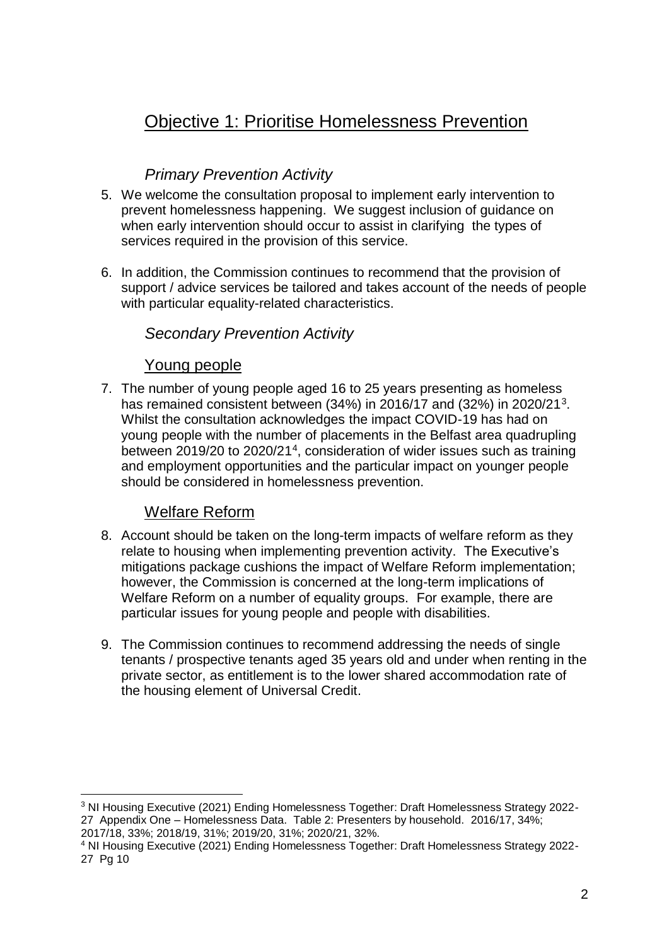# Objective 1: Prioritise Homelessness Prevention

## *Primary Prevention Activity*

- 5. We welcome the consultation proposal to implement early intervention to prevent homelessness happening. We suggest inclusion of guidance on when early intervention should occur to assist in clarifying the types of services required in the provision of this service.
- 6. In addition, the Commission continues to recommend that the provision of support / advice services be tailored and takes account of the needs of people with particular equality-related characteristics.

#### *Secondary Prevention Activity*

#### Young people

7. The number of young people aged 16 to 25 years presenting as homeless has remained consistent between (34%) in 2016/17 and (32%) in 2020/21<sup>3</sup>. Whilst the consultation acknowledges the impact COVID-19 has had on young people with the number of placements in the Belfast area quadrupling between 2019/20 to 2020/21<sup>4</sup> , consideration of wider issues such as training and employment opportunities and the particular impact on younger people should be considered in homelessness prevention.

## Welfare Reform

1

- 8. Account should be taken on the long-term impacts of welfare reform as they relate to housing when implementing prevention activity. The Executive's mitigations package cushions the impact of Welfare Reform implementation; however, the Commission is concerned at the long-term implications of Welfare Reform on a number of equality groups. For example, there are particular issues for young people and people with disabilities.
- 9. The Commission continues to recommend addressing the needs of single tenants / prospective tenants aged 35 years old and under when renting in the private sector, as entitlement is to the lower shared accommodation rate of the housing element of Universal Credit.

<sup>3</sup> NI Housing Executive (2021) Ending Homelessness Together: Draft Homelessness Strategy 2022- 27 Appendix One – Homelessness Data. Table 2: Presenters by household. 2016/17, 34%; 2017/18, 33%; 2018/19, 31%; 2019/20, 31%; 2020/21, 32%.

<sup>4</sup> NI Housing Executive (2021) Ending Homelessness Together: Draft Homelessness Strategy 2022- 27 Pg 10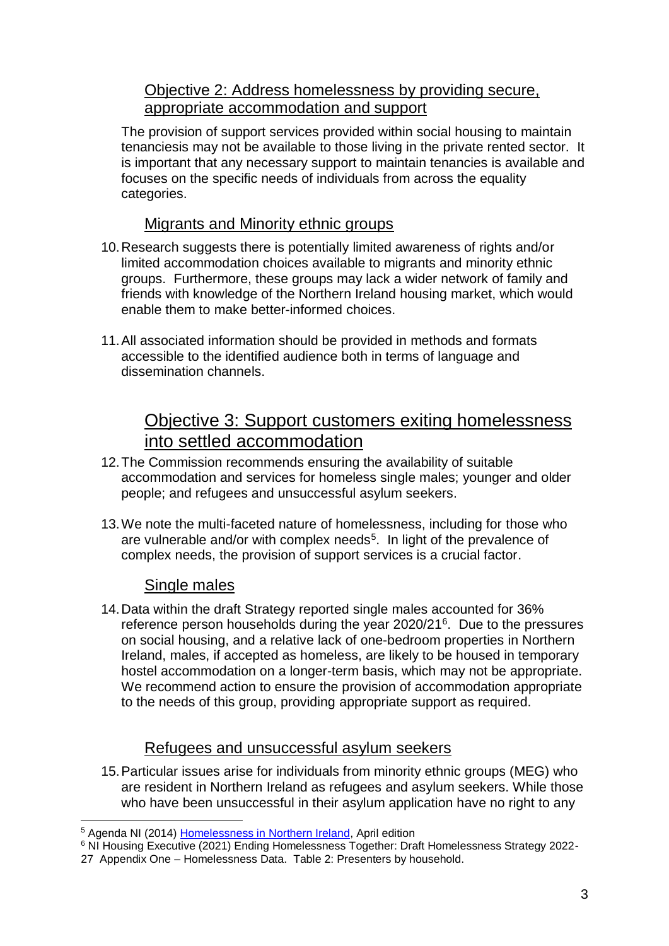## Objective 2: Address homelessness by providing secure, appropriate accommodation and support

The provision of support services provided within social housing to maintain tenanciesis may not be available to those living in the private rented sector. It is important that any necessary support to maintain tenancies is available and focuses on the specific needs of individuals from across the equality categories.

#### Migrants and Minority ethnic groups

- 10.Research suggests there is potentially limited awareness of rights and/or limited accommodation choices available to migrants and minority ethnic groups. Furthermore, these groups may lack a wider network of family and friends with knowledge of the Northern Ireland housing market, which would enable them to make better-informed choices.
- 11.All associated information should be provided in methods and formats accessible to the identified audience both in terms of language and dissemination channels.

# Objective 3: Support customers exiting homelessness into settled accommodation

- 12.The Commission recommends ensuring the availability of suitable accommodation and services for homeless single males; younger and older people; and refugees and unsuccessful asylum seekers.
- 13.We note the multi-faceted nature of homelessness, including for those who are vulnerable and/or with complex needs<sup>5</sup>. In light of the prevalence of complex needs, the provision of support services is a crucial factor.

#### Single males

1

14.Data within the draft Strategy reported single males accounted for 36% reference person households during the year 2020/21<sup>6</sup>. Due to the pressures on social housing, and a relative lack of one-bedroom properties in Northern Ireland, males, if accepted as homeless, are likely to be housed in temporary hostel accommodation on a longer-term basis, which may not be appropriate. We recommend action to ensure the provision of accommodation appropriate to the needs of this group, providing appropriate support as required.

## Refugees and unsuccessful asylum seekers

15.Particular issues arise for individuals from minority ethnic groups (MEG) who are resident in Northern Ireland as refugees and asylum seekers. While those who have been unsuccessful in their asylum application have no right to any

<sup>&</sup>lt;sup>5</sup> Agenda NI (2014) [Homelessness in Northern Ireland,](http://www.agendani.com/homelessness-in-northern-ireland/) April edition

<sup>&</sup>lt;sup>6</sup> NI Housing Executive (2021) Ending Homelessness Together: Draft Homelessness Strategy 2022-

<sup>27</sup> Appendix One – Homelessness Data. Table 2: Presenters by household.